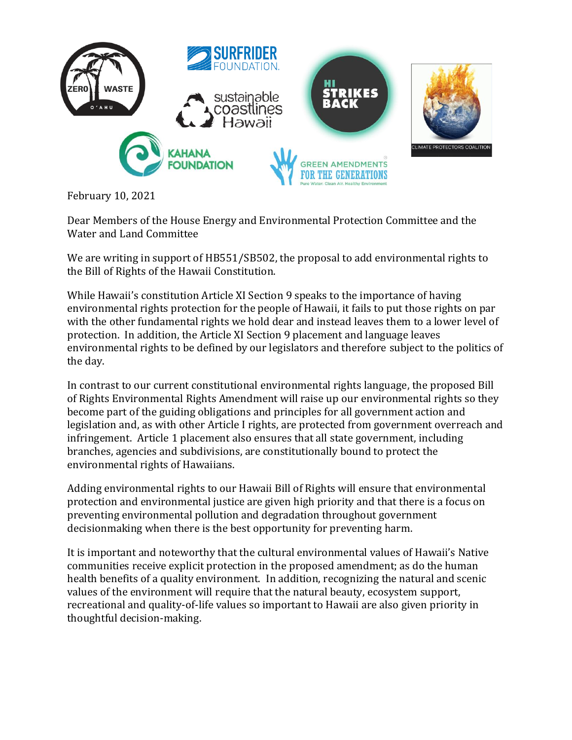

February 10, 2021

Dear Members of the House Energy and Environmental Protection Committee and the Water and Land Committee

We are writing in support of HB551/SB502, the proposal to add environmental rights to the Bill of Rights of the Hawaii Constitution.

While Hawaii's constitution Article XI Section 9 speaks to the importance of having environmental rights protection for the people of Hawaii, it fails to put those rights on par with the other fundamental rights we hold dear and instead leaves them to a lower level of protection. In addition, the Article XI Section 9 placement and language leaves environmental rights to be defined by our legislators and therefore subject to the politics of the day.

In contrast to our current constitutional environmental rights language, the proposed Bill of Rights Environmental Rights Amendment will raise up our environmental rights so they become part of the guiding obligations and principles for all government action and legislation and, as with other Article I rights, are protected from government overreach and infringement. Article 1 placement also ensures that all state government, including branches, agencies and subdivisions, are constitutionally bound to protect the environmental rights of Hawaiians.

Adding environmental rights to our Hawaii Bill of Rights will ensure that environmental protection and environmental justice are given high priority and that there is a focus on preventing environmental pollution and degradation throughout government decisionmaking when there is the best opportunity for preventing harm.

It is important and noteworthy that the cultural environmental values of Hawaii's Native communities receive explicit protection in the proposed amendment; as do the human health benefits of a quality environment. In addition, recognizing the natural and scenic values of the environment will require that the natural beauty, ecosystem support, recreational and quality-of-life values so important to Hawaii are also given priority in thoughtful decision-making.